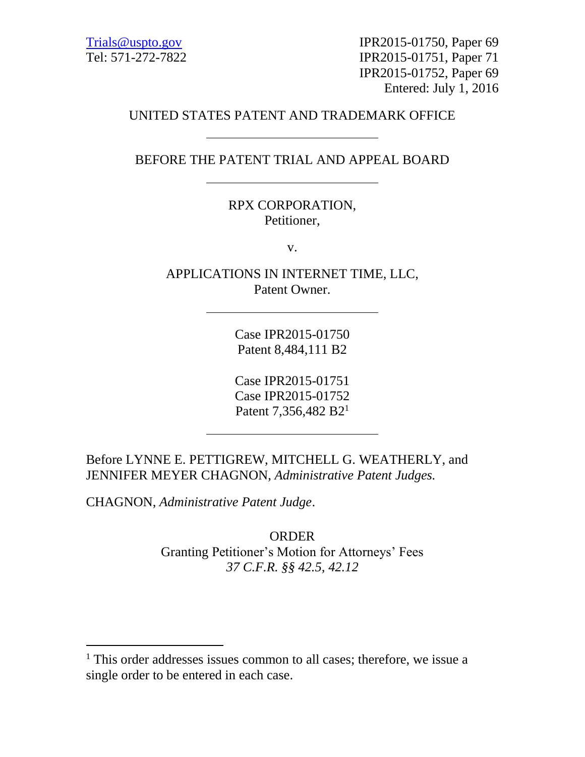[Trials@uspto.gov](mailto:Trials@uspto.gov) IPR2015-01750, Paper 69 Tel: 571-272-7822 IPR2015-01751, Paper 71 IPR2015-01752, Paper 69 Entered: July 1, 2016

## UNITED STATES PATENT AND TRADEMARK OFFICE

BEFORE THE PATENT TRIAL AND APPEAL BOARD

## RPX CORPORATION, Petitioner,

v.

APPLICATIONS IN INTERNET TIME, LLC, Patent Owner.

> Case IPR2015-01750 Patent 8,484,111 B2

> Case IPR2015-01751 Case IPR2015-01752 Patent 7,356,482 B2<sup>1</sup>

Before LYNNE E. PETTIGREW, MITCHELL G. WEATHERLY, and JENNIFER MEYER CHAGNON, *Administrative Patent Judges.*

CHAGNON, *Administrative Patent Judge*.

 $\overline{a}$ 

ORDER Granting Petitioner's Motion for Attorneys' Fees *37 C.F.R. §§ 42.5, 42.12*

<sup>&</sup>lt;sup>1</sup> This order addresses issues common to all cases; therefore, we issue a single order to be entered in each case.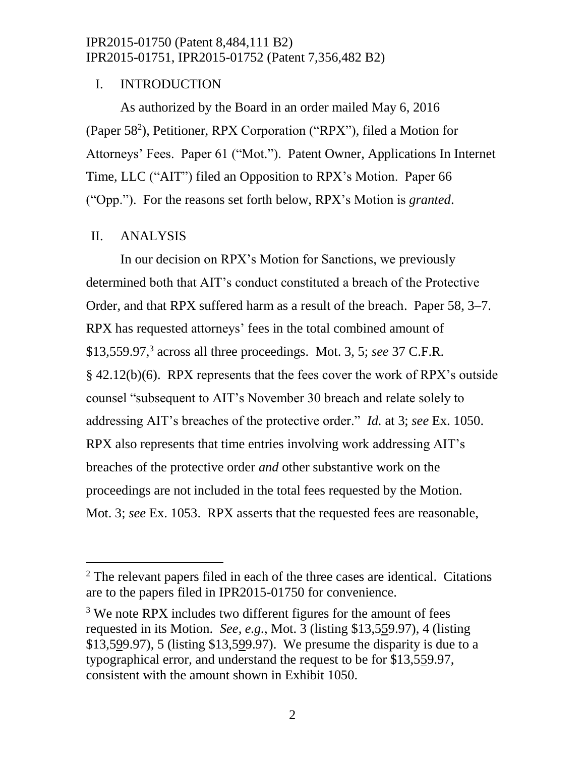## I. INTRODUCTION

As authorized by the Board in an order mailed May 6, 2016 (Paper 58<sup>2</sup>), Petitioner, RPX Corporation ("RPX"), filed a Motion for Attorneys' Fees. Paper 61 ("Mot."). Patent Owner, Applications In Internet Time, LLC ("AIT") filed an Opposition to RPX's Motion. Paper 66 ("Opp."). For the reasons set forth below, RPX's Motion is *granted*.

## II. ANALYSIS

l

In our decision on RPX's Motion for Sanctions, we previously determined both that AIT's conduct constituted a breach of the Protective Order, and that RPX suffered harm as a result of the breach. Paper 58, 3–7. RPX has requested attorneys' fees in the total combined amount of \$13,559.97,<sup>3</sup> across all three proceedings. Mot. 3, 5; *see* 37 C.F.R. § 42.12(b)(6). RPX represents that the fees cover the work of RPX's outside counsel "subsequent to AIT's November 30 breach and relate solely to addressing AIT's breaches of the protective order." *Id.* at 3; *see* Ex. 1050. RPX also represents that time entries involving work addressing AIT's breaches of the protective order *and* other substantive work on the proceedings are not included in the total fees requested by the Motion. Mot. 3; *see* Ex. 1053. RPX asserts that the requested fees are reasonable,

 $2$  The relevant papers filed in each of the three cases are identical. Citations are to the papers filed in IPR2015-01750 for convenience.

<sup>&</sup>lt;sup>3</sup> We note RPX includes two different figures for the amount of fees requested in its Motion. *See, e.g.*, Mot. 3 (listing \$13,559.97), 4 (listing \$13,599.97), 5 (listing \$13,599.97). We presume the disparity is due to a typographical error, and understand the request to be for \$13,559.97, consistent with the amount shown in Exhibit 1050.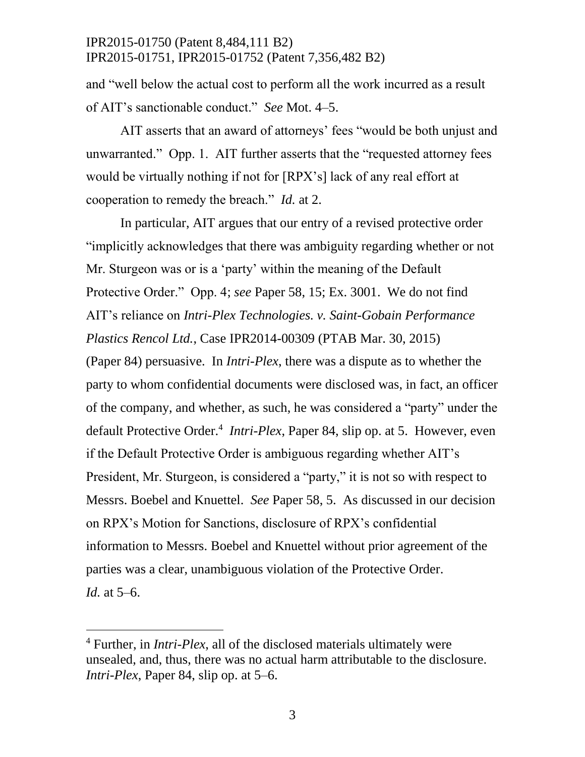and "well below the actual cost to perform all the work incurred as a result of AIT's sanctionable conduct." *See* Mot. 4–5.

AIT asserts that an award of attorneys' fees "would be both unjust and unwarranted." Opp. 1. AIT further asserts that the "requested attorney fees would be virtually nothing if not for [RPX's] lack of any real effort at cooperation to remedy the breach." *Id.* at 2.

In particular, AIT argues that our entry of a revised protective order "implicitly acknowledges that there was ambiguity regarding whether or not Mr. Sturgeon was or is a 'party' within the meaning of the Default Protective Order." Opp. 4; *see* Paper 58, 15; Ex. 3001. We do not find AIT's reliance on *Intri-Plex Technologies. v. Saint-Gobain Performance Plastics Rencol Ltd.*, Case IPR2014-00309 (PTAB Mar. 30, 2015) (Paper 84) persuasive. In *Intri-Plex*, there was a dispute as to whether the party to whom confidential documents were disclosed was, in fact, an officer of the company, and whether, as such, he was considered a "party" under the default Protective Order.<sup>4</sup> Intri-Plex, Paper 84, slip op. at 5. However, even if the Default Protective Order is ambiguous regarding whether AIT's President, Mr. Sturgeon, is considered a "party," it is not so with respect to Messrs. Boebel and Knuettel. *See* Paper 58, 5. As discussed in our decision on RPX's Motion for Sanctions, disclosure of RPX's confidential information to Messrs. Boebel and Knuettel without prior agreement of the parties was a clear, unambiguous violation of the Protective Order. *Id.* at 5–6.

 $\overline{a}$ 

<sup>4</sup> Further, in *Intri-Plex*, all of the disclosed materials ultimately were unsealed, and, thus, there was no actual harm attributable to the disclosure. *Intri-Plex*, Paper 84, slip op. at 5–6.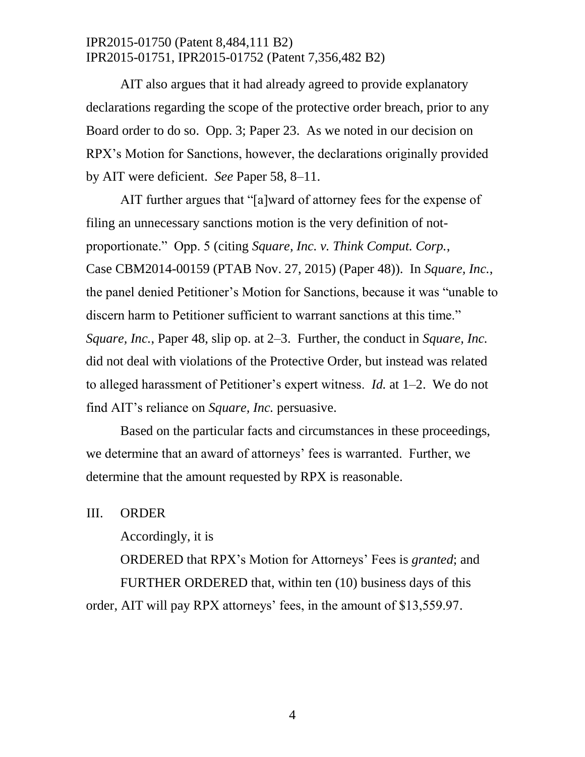AIT also argues that it had already agreed to provide explanatory declarations regarding the scope of the protective order breach, prior to any Board order to do so. Opp. 3; Paper 23. As we noted in our decision on RPX's Motion for Sanctions, however, the declarations originally provided by AIT were deficient. *See* Paper 58, 8–11.

AIT further argues that "[a]ward of attorney fees for the expense of filing an unnecessary sanctions motion is the very definition of notproportionate." Opp. 5 (citing *Square, Inc. v. Think Comput. Corp.*, Case CBM2014-00159 (PTAB Nov. 27, 2015) (Paper 48)). In *Square, Inc.*, the panel denied Petitioner's Motion for Sanctions, because it was "unable to discern harm to Petitioner sufficient to warrant sanctions at this time." *Square, Inc.*, Paper 48, slip op. at 2–3. Further, the conduct in *Square, Inc.* did not deal with violations of the Protective Order, but instead was related to alleged harassment of Petitioner's expert witness. *Id.* at 1–2. We do not find AIT's reliance on *Square, Inc.* persuasive.

Based on the particular facts and circumstances in these proceedings, we determine that an award of attorneys' fees is warranted. Further, we determine that the amount requested by RPX is reasonable.

III. ORDER

Accordingly, it is

ORDERED that RPX's Motion for Attorneys' Fees is *granted*; and FURTHER ORDERED that, within ten (10) business days of this order, AIT will pay RPX attorneys' fees, in the amount of \$13,559.97.

4